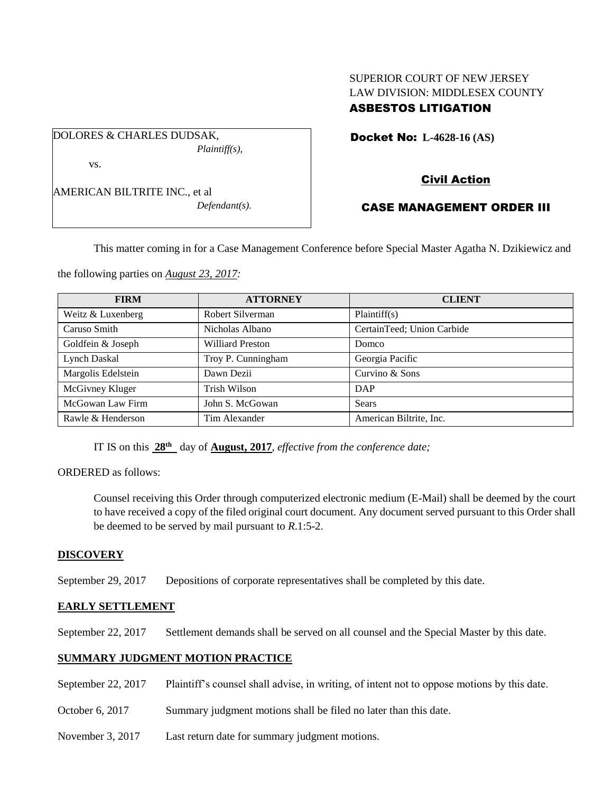# SUPERIOR COURT OF NEW JERSEY LAW DIVISION: MIDDLESEX COUNTY ASBESTOS LITIGATION

Docket No: **L-4628-16 (AS)** 

AMERICAN BILTRITE INC., et al

vs.

DOLORES & CHARLES DUDSAK,

*Defendant(s).*

*Plaintiff(s),*

# Civil Action

## CASE MANAGEMENT ORDER III

This matter coming in for a Case Management Conference before Special Master Agatha N. Dzikiewicz and

the following parties on *August 23, 2017:*

| <b>FIRM</b>        | <b>ATTORNEY</b>         | <b>CLIENT</b>              |
|--------------------|-------------------------|----------------------------|
| Weitz & Luxenberg  | Robert Silverman        | Plaintiff(s)               |
| Caruso Smith       | Nicholas Albano         | CertainTeed; Union Carbide |
| Goldfein & Joseph  | <b>Williard Preston</b> | Domco                      |
| Lynch Daskal       | Troy P. Cunningham      | Georgia Pacific            |
| Margolis Edelstein | Dawn Dezii              | Curvino & Sons             |
| McGivney Kluger    | Trish Wilson            | DAP                        |
| McGowan Law Firm   | John S. McGowan         | Sears                      |
| Rawle & Henderson  | Tim Alexander           | American Biltrite, Inc.    |

IT IS on this  $28<sup>th</sup>$  day of **August, 2017**, *effective from the conference date*;

ORDERED as follows:

Counsel receiving this Order through computerized electronic medium (E-Mail) shall be deemed by the court to have received a copy of the filed original court document. Any document served pursuant to this Order shall be deemed to be served by mail pursuant to *R*.1:5-2.

## **DISCOVERY**

September 29, 2017 Depositions of corporate representatives shall be completed by this date.

#### **EARLY SETTLEMENT**

September 22, 2017 Settlement demands shall be served on all counsel and the Special Master by this date.

#### **SUMMARY JUDGMENT MOTION PRACTICE**

- September 22, 2017 Plaintiff's counsel shall advise, in writing, of intent not to oppose motions by this date.
- October 6, 2017 Summary judgment motions shall be filed no later than this date.
- November 3, 2017 Last return date for summary judgment motions.